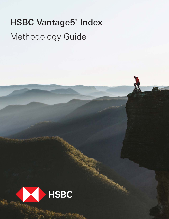# HSBC Vantage5® Index Methodology Guide

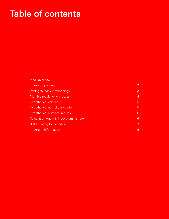# Table of contents

| Index overview                          |                         |
|-----------------------------------------|-------------------------|
| Index components                        | $\overline{2}$          |
| Vantage5 Index methodology              | 3                       |
| Monthly rebalancing process             | 4                       |
| <b>Hypothetical volatility</b>          | 5                       |
| Hypothetical portfolio allocation       | 5                       |
| <b>Hypothetical historical returns</b>  | $6\phantom{1}$          |
| Calculation Agent & Index Administrator | 6                       |
| Risks relating to the index             | $\overline{\mathbf{v}}$ |
| Important Information                   | 9                       |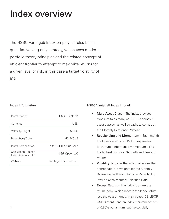### Index overview

The HSBC Vantage5 Index employs a rules-based quantitative long only strategy, which uses modern portfolio theory principles and the related concept of efficient frontier to attempt to maximize returns for a given level of risk, in this case a target volatility of 5%.

| Index Owner                                | <b>HSBC Bank plc</b>    |
|--------------------------------------------|-------------------------|
| Currency                                   | USD                     |
| <b>Volatility Target</b>                   | $5.00\%$                |
| <b>Bloomberg Ticker</b>                    | <b>HSIFV5UF</b>         |
| Index Composition                          | Up to 13 ETFs plus Cash |
| Calculation Agent /<br>Index Administrator | S&P Opco, LLC           |
| Website                                    | vantage5.hsbcnet.com    |

### Index information **Index** information **HSBC** Vantage5 Index in brief

- Multi-Asset Class The Index provides exposure to as many as 13 ETFs across 5 asset classes, as well as cash, to construct the Monthly Reference Portfolio
- Rebalancing and Momentum Each month the Index determines it's ETF exposures to capture performance momentum using the highest historical 3-month and 6-month returns
- Volatility Target The Index calculates the appropriate ETF weights for the Monthly Reference Portfolio to target a 5% volatility level on each Monthly Selection Date
- **Excess Return** The Index is an excess return index, which reflects the Index return less the cost of funds, in this case ICE LIBOR USD 3 Month and an index maintenance fee of 0.85% per annum, subtracted daily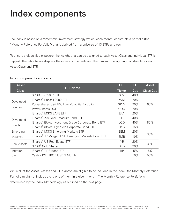# Index components

The Index is based on a systematic investment strategy which, each month, constructs a portfolio (the "Monthly Reference Portfolio") that is derived from a universe of 13 ETFs and cash.

To ensure a diversified exposure, the weight that can be assigned to each Asset Class and individual ETF is capped. The table below displays the index components and the maximum weighting constraints for each Asset Class and ETF.

### Index components and caps

| <b>Asset</b>              |                                                                | <b>ETF</b>    | ETF | <b>Asset</b>     |
|---------------------------|----------------------------------------------------------------|---------------|-----|------------------|
| <b>Class</b>              | <b>ETF Name</b>                                                | <b>Ticker</b> | Cap | <b>Class Cap</b> |
| Developed                 | SPDR S&P 500 <sup>®</sup> ETF                                  | <b>SPY</b>    | 40% |                  |
|                           | iShares <sup>®</sup> Russell 2000 ETF                          | <b>IWM</b>    | 20% |                  |
|                           | PowerShares S&P 500 Low Volatility Portfolio                   | <b>SPLV</b>   | 20% | 60%              |
| Equities                  | PowerShares QQQ                                                | QQQ           | 20% |                  |
|                           | iShares <sup>®</sup> MSCI EAFE ETF                             | <b>EFA</b>    | 20% |                  |
| Developed<br><b>Bonds</b> | iShares <sup>®</sup> 20+ Year Treasury Bond ETF                | TLT           | 40% |                  |
|                           | iShares <sup>®</sup> iBoxx Investment Grade Corporate Bond ETF | <b>LOD</b>    | 40% | 80%              |
|                           | iShares <sup>®</sup> iBoxx High Yield Corporate Bond ETF       | <b>HYG</b>    | 15% |                  |
| Emerging                  | iShares <sup>®</sup> MSCI Emerging Markets ETF                 | EEM           | 20% |                  |
| Markets                   | iShares <sup>®</sup> JP Morgan USD Emerging Markets Bond ETF   | <b>EMB</b>    | 10% | 30%              |
| <b>Real Assets</b>        | iShares <sup>®</sup> US Real Estate ETF                        | <b>IYR</b>    | 20% | 30%              |
|                           | SPDR <sup>®</sup> Gold Shares                                  | GLD           | 20% |                  |
| Inflation                 | iShares <sup>®</sup> TIPS Bond ETF                             | <b>TIP</b>    | 5%  | 5%               |
| Cash                      | Cash - ICE LIBOR USD 3 Month                                   |               | 50% | 50%              |

While all of the Asset Classes and ETFs above are eligible to be included in the Index, the Monthly Reference Portfolio might not include every one of them in a given month. The Monthly Reference Portfolio is determined by the Index Methodology as outlined on the next page.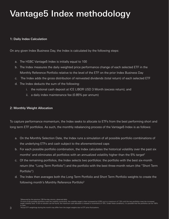# Vantage5 Index methodology

### 1: Daily Index Calculation

On any given Index Business Day, the Index is calculated by the following steps:

- a. The HSBC Vantage5 Index is initially equal to 100
- b. The Index measures the daily weighted price performance change of each selected ETF in the Monthly Reference Portfolio relative to the level of the ETF on the prior Index Business Day
- c. The Index adds the gross distribution of reinvested dividends (total return) of each selected ETF
- d. The Index deducts the sum of the following:
	- i. the notional cash deposit at ICE LIBOR USD 3 Month (excess return); and
	- ii. a daily index maintenance fee (0.85% per annum)

### 2: Monthly Weight Allocation

To capture performance momentum, the Index seeks to allocate to ETFs from the best performing short and long term ETF portfolios. As such, the monthly rebalancing process of the Vantage5 Index is as follows:

- a. On the Monthly Selection Date, the Index runs a simulation of all possible portfolio combinations of the underlying ETFs and cash subject to the aforementioned caps
- b. For each possible portfolio combination, the Index calculates the historical volatility over the past six months<sup>1</sup> and eliminates all portfolios with an annualized volatility higher than the 5% target<sup>2</sup>
- c. Of the remaining portfolios, the Index selects two portfolios: the portfolio with the best six-month return (the "Long Term Portfolio") and the portfolio with the best three-month return (the "Short Term Portfolio")
- d. The Index then averages both the Long Term Portfolio and Short Term Portfolio weights to create the following month's Monthly Reference Portfolio<sup>3</sup>

<sup>1</sup>Measured by the previous 126 five-day returns, observed daily.

2 If none of the possible portfolios meet the volatility constraints, the volatility target is then increased by 0.25% up to a maximum of 7.5% until the two portfolios meet the increased target volatility level. If still no solution can be found, the maximum cash allocation is relaxed in increments of 10%. Under these conditions, it is possible that the portfolios can be 100%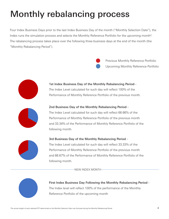# Monthly rebalancing process

Four Index Business Days prior to the last Index Business Day of the month ("Monthly Selection Date"), the Index runs the simulation process and selects the Monthly Reference Portfolio for the upcoming month<sup>4</sup>. The rebalancing process takes place over the following three business days at the end of the month (the "Monthly Rebalancing Period").



Upcoming Monthly Reference Portfolio Previous Monthly Reference Portfolio



### 1st Index Business Day of the Monthly Rebalancing Period - The Index Level calculated for such day will reflect 100% of the Performance of Monthly Reference Portfolio of the previous month.



### 2nd Business Day of the Monthly Rebalancing Period -

The Index Level calculated for such day will reflect 66.66% of the Performance of Monthly Reference Portfolio of the previous month and 33.34% of the Performance of Monthly Reference Portfolio of the following month.



### 3rd Business Day of the Monthly Rebalancing Period -

The Index Level calculated for such day will reflect 33.33% of the Performance of Monthly Reference Portfolio of the previous month and 66.67% of the Performance of Monthly Reference Portfolio of the following month.

NEW INDEX MONTH



First Index Business Day Following the Monthly Rebalancing Period - The Index level will reflect 100% of the performance of the Monthly Reference Portfolio of the upcoming month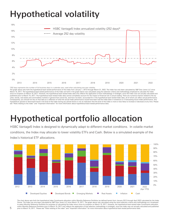# Hypothetical volatility



\*252 days represents the number of full business days in a calendar year, used when calculating one-year volatility. The graph above sets forth the hypothetical back-tested performance of the Index from January 1, 2013 through March 31, 2022. The Index has only been calculated by S&P Dow Jones LLC since March 15, 2017. The hypothetical back-tested performance of the Index set forth in the graph above was calculated using the selection criteria and methodology employed to calculate the Index since its inception on March 15, 2017. However, the hypothetical back-tested Index data only reflects the application of that methodology in hindsight, since the Index was not actually calculated and<br>published prior to Mar uities, bonds, real estate and commodities markets in general that cannot be, and have not been, accounted for in the hypothetical back-tested Index data, all of which can affect actual performance. Consequently, you should not rely on that data as a reflection of what the actual Index performance would have been had the Index been in existence or in forecasting future Index performance. Any hypothetical upward or downward trend in the level of the Index during any period shown is not an indication that the level of the Index is more or less likely to increase or decrease at any time. Please see "Risks relating to the index" and "Important information" for more information about hypothetical back-tested performance data.

### Hypothetical portfolio allocation

HSBC Vantage5 Index is designed to dynamically adapt to different market conditions. In volatile market conditions, the Index may allocate to lower volatility ETFs and Cash. Below is a simulated example of the Index's historical ETF allocations.



The chart above sets forth the hypothetical Index Constituents allocation within Monthly Reference Portfolios (as defined herein) form January 2012 through April 2022 calculated by the Index<br>Owner. The Index has only been to select Monthly Reference Portfolios for purposes of calculating the Index return since its inception on March 15, 2017. However, the hypothetical back-tested Index Constituents allocation within Monthly Reference Portfolios prior to March 15, 2017 only reflects the application of that selection methodology in hindsight, since the Index was not actually calculated and published prior to March 15, 2017. Please see "Risks relating to the index" and "Important information" for more information about hypothetical back-tested performance data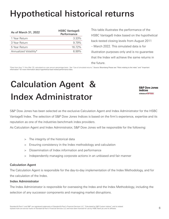# Hypothetical historical returns

| As of March 31, 2022   | <b>HSBC Vantage5</b><br>Performance |
|------------------------|-------------------------------------|
| 1 Year Return          | $3.33\%$                            |
| 3 Year Return          | 9.79%                               |
| 5 Year Return          | 16.72%                              |
| Annualized Volatility* | 6.99%                               |
|                        |                                     |

This table illustrates the performance of the HSBC Vantage5 Index based on the hypothetical back-tested closing levels from August 2011 – March 2022. This simulated data is for illustration purposes only and is no guarantee that the Index will achieve the same returns in the future.

\*Data from Aug '11 thru Mar '22, calculated on a per annum percentage basis. See "Use of simulated returns." Source: Bloomberg Please see "Risks relating to the index" and "Important information" for more information about hypothetical back-tested performance data.

# Calculation Agent & Index Administrator

**S&P Dow Jones Indices** A Division of S&P Global

S&P Dow Jones has been selected as the exclusive Calculation Agent and Index Administrator for the HSBC Vantage5 Index. The selection of S&P Dow Jones Indices is based on the firm's experience, expertise and its reputation as one of the industries benchmark index providers.

As Calculation Agent and Index Administrator, S&P Dow Jones will be responsible for the following:

- > The integrity of the historical data
- > Ensuring consistency in the Index methodology and calculation
- > Dissemination of Index information and performance
- > Independently managing corporate actions in an unbiased and fair manner

### Calculation Agent

The Calculation Agent is responsible for the day-to-day implementation of the Index Methodology, and for the calculation of the Index.

### Index Administrator

The Index Administrator is responsible for overseeing the Index and the Index Methodology, including the selection of any successor components and managing market disruptions.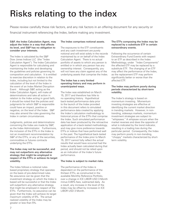# Risks relating to the index

Please review carefully these risk factors, and any risk factors in an offering document for any security or financial instrument referencing the Index, before making any investment.

#### S&P, the Index Calculation Agent, may adjust the Index in a way that affects its level, and S&P has no obligation to consider your interests.

The Index is calculated by the S&P Dow Jones Indices LLC (the "Index Calculation Agent"). The Index Calculation Agent is responsible for calculating and maintaining the Index and developing the guidelines and policies governing its composition and calculation. It is entitled to exercise discretion in relation to the Index, including but not limited to the calculation of the level of the Index in the event of an Index Market Disruption Event . Although S&P, acting as the Index Calculation Agent, will make all determinations and take all action in relation to the Index acting in good faith, it should be noted that the policies and judgments for which S&P is responsible could have an impact, positive or negative, on the level of the Index. S&P may also amend the rules governing the Index in certain circumstances.

Judgments, policies and determinations concerning the Index are made by S&P, as the Index Administrator. Furthermore, the inclusion of the ETFs in the Index is not an investment recommendation by S&P of the ETFs, or any of the securities, commodities or futures contracts underlying the ETFs.

#### The Index may not be successful, and may not outperform any alternative strategy that might be employed in respect of the ETFs or achieve its target volatility.

The Index follows a notional rulesbased proprietary strategy that operates on the basis of pre-determined rules. No assurance can be given that the investment strategy on which the Index is based will be successful or that the Index will outperform any alternative strategy that might be employed in respect of the ETFs. Furthermore, no assurance can be given that the Index will achieve its target maximum volatility of 5%. The actual realized volatility of the Index may be greater or less than 5%.

#### The Index comprises notional assets.

The exposures to the ETF constituents and any cash investment are purely notional and will exist solely in the records maintained by or on behalf of the Index Calculation Agent. There is no actual portfolio of assets to which any person is entitled or in which any person has any ownership interest. Consequently, you will not have any claim against any of the underlying assets that comprise the Index.

#### The Index has a very limited operating history and may perform in unanticipated ways.

The Index was established on March 15, 2017 and therefore has little to no operating history. Hypothetical back-tested performance data prior to the launch of the Index provided in this document refers to simulated performance data created by applying the Index's calculation methodology to historical prices of the ETFs that comprise the Index. Such simulated performance data has been produced by the retroactive application of a back-tested methodology, and may give more preference towards ETFs or indices that have performed well in the past. The hypothetical back-tested performance of the Index prior to March 15, 2017 cannot fully reflect the actual results that would have occurred had the Index actually been calculated during that period, and should not be relied upon as an indication of the Index's future performance.

#### The Index is subject to market risks.

The performance of the Index is dependent on the performance of the thirteen ETFs, as constructed in the available Monthly Reference Portfolio, over a change in ICE LIBOR USD 3 Month minus 0.85% fees, subtracted daily. As a result, any increase in the level of the Index may be offset by increases in ICE LIBOR USD 3 Month.

#### The ETFs composing the Index may be replaced by a substitute ETF in certain extraordinary events.

Following the occurrence of certain Extraordinary Fund Events with respect to an ETF as described in the Index Methodology, under "Index Components" the affected ETF may be replaced by a substitute ETF. The changing of an ETF may affect the performance of the Index, as the replacement ETF may perform significantly better or worse than the affected ETF.

#### The Index may perform poorly during periods characterized by short-term volatility.

The Index's strategy is based on momentum investing. Momentum investing strategies are effective at identifying the current market direction in trending markets. However, in nontrending, sideways markets, momentum investment strategies are subject to "whipsaws." A whipsaw occurs when the market reverses and does the opposite of what is indicated by the trend indicator, resulting in a trading loss during the particular period. Consequently, the Index may perform poorly in non-trending, "choppy" markets characterized by shortterm volatility.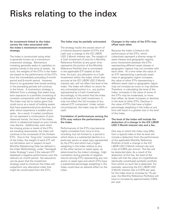### Risks relating to the index

#### An investment linked to the Index carries the risks associated with the Index's momentum investment strategy.

The Index is constructed using what is generally known as a momentum investment strategy. Momentum investing generally seeks to capitalize on positive trends in the price of assets. As such, the weights of the ETFs in the Index are based on the performance of the ETFs from the immediately preceding 3-month period and 6-month period. However, there is no guarantee that trends existing in the preceding periods will continue in the future. A momentum strategy is different from a strategy that seeks longterm exposure to a portfolio consisting of constant components with fixed weights. The Index may fail to realize gains that could occur as a result of holding assets that have experienced price declines, but after which experience a sudden price spike. As a result, if market conditions do not represent a continuation of prior observed trends, the level of the Index, which is rebalanced based on prior trends, may decline. Additionally, even when the closing prices or levels of the ETFs are trending downwards, the Index will continue to be composed of the thirteen ETFs. Due to the "long-only" construction of the Index, the weight of each ETF will not fall below zero in respect of each Monthly Rebalancing Date (as defined in the Index Methodology, under "Vantage5 Index Strategy") even if the relevant ETF displayed a negative performance over the relevant six month period. No assurance can be given that the investment strategy used to construct the Index will outperform any alternative index that might be constructed from the ETFs.

#### The Index may be partially uninvested.

The strategy tracks the excess return of a notional dynamic basket of ETFs and cash over a change in the ICE LIBOR USD 3 Month interest rate. The weight of a Cash Investment (if any) for a Monthly Reference Portfolio at any given time represents the portion of the Monthly Reference Portfolio that is uninvested in the applicable ETF basket at that time. As such, any allocation to a Cash Investment within the Index, which also accrues at the ICE LIBOR USD 3 Month interest rate, will not affect the level of the Index. The Index will reflect no return for any uninvested portion (i.e., any portion represented by a Cash Investment). Accordingly, to the extent that the Index is allocated to the Cash Investment, it may not reflect the full increase of any relevant ETF component. Under certain circumstances, the Index may be 100% in cash.

#### Correlation of performances among the ETFs may reduce the performance of the Index.

Performances of the ETFs may become highly correlated from time to time including, but not limited to, a period in which there is a substantial decline in a particular sector or asset type represented by the ETFs and which has a higher weighting in the Index relative to any of the other sectors or asset types, as determined by the Index's strategy. High correlation during periods of negative returns among ETFs representing any one sector or asset type and which ETFs have a substantial percentage weighting in the Index could have an adverse effect on the index.

#### Changes in the value of the ETFs may offset each other.

Because the Index is linked to the performance of the ETFs, which collectively represent a diverse range of asset classes and geographic regions, price movements between the ETFs representing different asset classes or geographic regions may not correlate with each other. At a time when the value of an ETF representing a particular asset class or geographic region increases, the value of other ETFs representing a different asset class or geographic region may not increase as much or may decline. Therefore, in calculating the level of the Index, increases in the value of some of the ETFs may be moderated, or more than offset, by lesser increases or declines in the level of other ETFs. Declines in the value of ETFs that have a higher percentage weighting in the Index at any time will result in a greater loss in the level of the Index.

#### The level of the Index will include the deduction of a change in the ICE LIBOR USD 3 Month interest rate and a fee.

One way in which the Index may differ from a typical index is that its level will include a deduction from the performance of the applicable Monthly Reference Portfolio of both a change in the ICE LIBOR USD 3 Month interest rate and a fee of 0.85% per annum. This fee will be deducted daily. As a result of the deduction of this fee, the level of the Index will trail the value of a hypothetical identically constituted synthetic portfolio from which no such fee is deducted. For example, assuming the ICE LIBOR USD 3 Month interest rate is 0.20% per year, for the Index level to increase by 1% per year, the Monthly Reference Portfolios will have to increase by approximately 2.05% per year.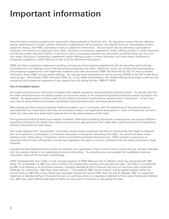# Important information

Any information relating to performance contained in these materials is illustrative only. No assurance is given that any indicative returns, performance or results, whether historical or hypothetical, will be achieved. Any specific terms or methodology remains subject to change, and HSBC undertakes no duty to update this information. This document may be amended, superseded or replaced in its entirety by a subsequent term sheet, disclosure or prospectus supplement, and/or offering circular or similar document and the documents referred to therein. In the event of any inconsistency between the information presented herein and any such term sheet, disclosure or prospectus supplement, and/or offering circular or similar document, such term sheet, disclosure or prospectus supplement, and/or offering circular or similar document shall govern.

HSBC has filed a registration statement (including a prospectus and prospectus supplement) with the Securities and Exchange Commission for any offering to which this free writing prospectus may relate. Before you invest, you should read the prospectus and prospectus supplement in that registration statement and other documents HSBC has filed with the SEC for more complete information about HSBC and any related offering. You may get these documents for free by visiting EDGAR on the SEC's web site at www.sec.gov. Alternatively, HSBC Securities (USA) Inc. or any dealer participating in the related offering will arrange to send you the prospectus and prospectus supplement if you request them by calling toll-free 1-866-811-8049.

#### Use of simulated returns

Any historical performance information included in this website represents only hypothetical historical results. You should note that the index constituents have not traded together in the manner shown in the composite hypothetical historical results included in this website. No representation is being made that the indices will achieve a performance record similar to that shown. In fact, there may often be sharp differences between hypothetical historical performance and actual performance.

Back-testing and other statistical analysis material provided to you in connection with the explanations of the potential returns associated with an investment in the Index use simulated analysis and hypothetical assumptions in order to illustrate the manner in which the Index may have performed in periods prior to the actual existence of the Index.

The hypothetical historical levels have inherent limitations. Alternative modelling techniques or assumptions may produce different hypothetical historical information that might prove to be more appropriate and that might differ significantly from the hypothetical historical information set forth above.

The results obtained from "back-testing" information should not be considered indicative of actual results that might be obtained from an investment or participation in a financial instrument or transaction referencing the Index. You should not place undue reliance on the "back-testing" information, which is provided for illustrative purposes only. HSBC provides no assurance or guarantee that the Index will operate or would have operated in the past in a manner consistent with the results presented in these materials.

Hypothetical back-tested results are neither an indicator nor a guarantee of future returns. Actual results will vary, perhaps materially, from the analysis implied in the hypothetical historical information. You should review and consider the hypothetical historical information only with the full Index methodology.

HSBC Vantage5 Index (the "Index") is the exclusive property of HSBC Bank plc and its affiliates which has contracted with S&P Opco, LLC (a subsidiary of S&P Dow Jones Indices LLC) to administer, maintain and calculate the Index. The Index is not endorsed by S&P or its affiliates or its third party licensors, including Standard & Poor's Financial Services LLC and Dow Jones Trademark Holdings LLC (collectively "S&P Dow Jones Indices"). "Calculated by S&P Custom Indices" and its related stylized mark(s) are service marks of S&P Dow Jones Indices and have been licensed for use by HSBC Bank plc and its affiliates. S&P® is a registered trademark of Standard & Poor's Financial Services LLC and Dow Jones<sup>®</sup> is a registered trademark of Dow Jones Trademark Holdings LLC. S&P Dow Jones Indices shall have no liability for any errors or omissions in calculating the Index.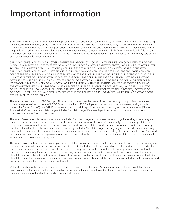# Important information

S&P Dow Jones Indices does not make any representation or warranty, express or implied, to any member of the public regarding the advisability of the ability of the Index to track ETF performance. S&P Dow Jones Indices' only relationship to HSBC Bank plc with respect to the Index is the licensing of certain trademarks, service marks and trade names of S&P Dow Jones Indices and for the provision of administration, calculation and maintenance services related to the Index. S&P Dow Jones Indices LLC is not an investment advisor. Inclusion of a security within the Index is not a recommendation of S&P Dow Jones Indices to buy, sell, or hold such security nor is it investment advice.

S&P DOW JONES INDICES DOES NOT GUARANTEE THE ADEQUACY, ACCURACY, TIMELINESS OR COMPLETENESS OF THE INDEX OR ANY DATA RELATED THERETO OR ANY COMMUNICATION WITH RESPECT THERETO, INCLUDING BUT NOT LIMITED TO, ORAL OR WRITTEN COMMUNICATIONS (INCLUDING ELECTRONIC COMMUNICATIONS) WITH RESPECT THERETO. S&P DOW JONES INDICES SHALL NOT BE SUBJECT TO ANY DAMAGES OR LIABILITY FOR ANY ERRORS, OMISSIONS OR DELAYS THEREIN. S&P DOW JONES INDICES MAKES NO EXPRESS OR IMPLIED WARRANTIES, AND EXPRESSLY DISCLAIMS ALL WARRANTIES OF MERCHANTABILITY OR FITNESS FOR A PARTICULAR PURPOSE OR USE OR AS TO RESULTS TO BE OBTAINED BY HSBC BANK PLC OR ANY OTHER PERSON OR ENTITY FROM THE USE OF THE INDEX OR WITH RESPECT TO ITS TRADEMARKS, THE INDEX OR ANY DATA INCLUDED THEREIN. WITHOUT LIMITING ANY OF THE FOREGOING, IN NO EVENT WHATSOEVER SHALL S&P DOW JONES INDICES BE LIABLE FOR ANY INDIRECT, SPECIAL, INCIDENTAL, PUNITIVE OR CONSEQUENTIAL DAMAGES, INCLUDING BUT NOT LIMITED TO, LOSS OF PROFITS, TRADING LOSSES, LOST TIME OR GOODWILL, EVEN IF THEY HAVE BEEN ADVISED OF THE POSSIBILITY OF SUCH DAMAGES, WHETHER IN CONTRACT, TORT, STRICT LIABILITY OR OTHERWISE.

The Index is proprietary to HSBC Bank plc. No use or publication may be made of the Index, or any of its provisions or values, without the prior written consent of HSBC Bank plc. Neither HSBC Bank plc nor its duly appointed successor, acting as index owner (the "Index Owner"), nor S&P Dow Jones Indices or its duly appointed successor, acting as index administrator ("Index Administrator") and index calculation agent ("Index Calculation Agent"), are obliged to enter into or promote transactions or investments that are linked to the Index.

The Index Owner, the Index Administrator and the Index Calculation Agent do not assume any obligation or duty to any party and under no circumstances does the Index Owner, the Index Administrator or the Index Calculation Agent assume any relationship of agency or trust or of a fiduciary nature for or with any party. Any calculations or determinations in respect of the Index or any part thereof shall, unless otherwise specified, be made by the Index Calculation Agent, acting in good faith and in a commercially reasonable manner and shall (save in the case of manifest error) be final, conclusive and binding. The term "manifest error" as used herein shall mean an error that is plain and obvious and can be identified from the results of the calculation or determination itself without recourse to any underlying data.

The Index Owner makes no express or implied representations or warranties as to (a) the advisability of purchasing or assuming any risk in connection with any transaction or investment linked to the Index, (b) the levels at which the Index stands at any particular time on any particular date, (c) the results to be obtained by any party from the use of the Index or any data included in it for the purposes of issuing any financial instruments or carrying out any financial transaction linked to the Index or (d) any other matter. Calculations may be based on information obtained from various publicly available sources. The Index Administrator and the Index Calculation Agent have relied on these sources and have not independently verified the information extracted from these sources and accept no responsibility or liability in respect thereof.

Without prejudice to the foregoing, in no event shall the Index Owner, the Index Administrator nor the Index Calculation Agent, have any liability for any indirect, special, punitive or consequential damages (provided that any such damage is not reasonably foreseeable) even if notified of the possibility of such damages.